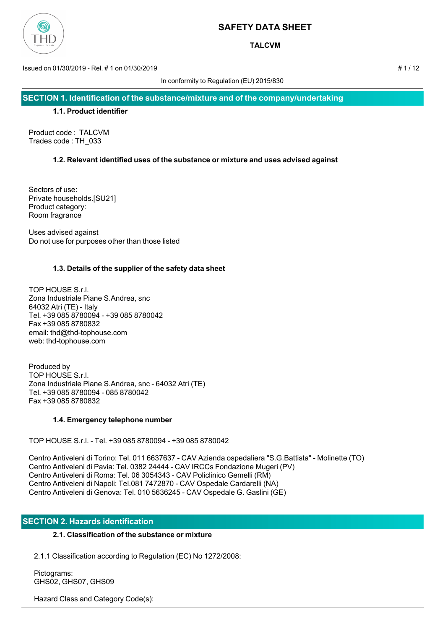

**TALCVM**

Issued on 01/30/2019 - Rel. # 1 on 01/30/2019 # 1 / 12

In conformity to Regulation (EU) 2015/830

**SECTION 1. Identification of the substance/mixture and of the company/undertaking**

#### **1.1. Product identifier**

Product code : TALCVM Trades code : TH\_033

## **1.2. Relevant identified uses of the substance or mixture and uses advised against**

Sectors of use: Private households.[SU21] Product category: Room fragrance

Uses advised against Do not use for purposes other than those listed

## **1.3. Details of the supplier of the safety data sheet**

TOP HOUSE S.r.l. Zona Industriale Piane S.Andrea, snc 64032 Atri (TE) - Italy Tel. +39 085 8780094 - +39 085 8780042 Fax +39 085 8780832 email: thd@thd-tophouse.com web: thd-tophouse.com

Produced by TOP HOUSE S.r.l. Zona Industriale Piane S.Andrea, snc - 64032 Atri (TE) Tel. +39 085 8780094 - 085 8780042 Fax +39 085 8780832

## **1.4. Emergency telephone number**

TOP HOUSE S.r.l. - Tel. +39 085 8780094 - +39 085 8780042

Centro Antiveleni di Torino: Tel. 011 6637637 - CAV Azienda ospedaliera "S.G.Battista" - Molinette (TO) Centro Antiveleni di Pavia: Tel. 0382 24444 - CAV IRCCs Fondazione Mugeri (PV) Centro Antiveleni di Roma: Tel. 06 3054343 - CAV Policlinico Gemelli (RM) Centro Antiveleni di Napoli: Tel.081 7472870 - CAV Ospedale Cardarelli (NA) Centro Antiveleni di Genova: Tel. 010 5636245 - CAV Ospedale G. Gaslini (GE)

## **SECTION 2. Hazards identification**

## **2.1. Classification of the substance or mixture**

2.1.1 Classification according to Regulation (EC) No 1272/2008:

 Pictograms: GHS02, GHS07, GHS09

Hazard Class and Category Code(s):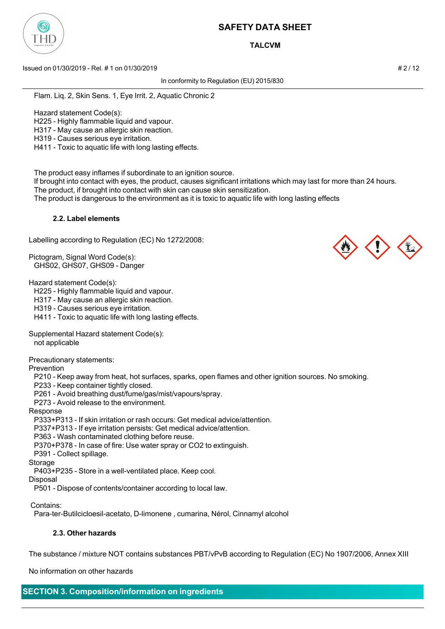

**TALCVM**

Issued on 01/30/2019 - Rel. # 1 on 01/30/2019 **And Contact the Contact of the Contact of the Contact of the Contact of the Contact of the Contact of the Contact of the 2 / 12** 

In conformity to Regulation (EU) 2015/830

Flam. Liq. 2, Skin Sens. 1, Eye Irrit. 2, Aquatic Chronic 2

Hazard statement Code(s):

H225 - Highly flammable liquid and vapour.

H317 - May cause an allergic skin reaction.

H319 - Causes serious eye irritation.

H411 - Toxic to aquatic life with long lasting effects.

The product easy inflames if subordinate to an ignition source.

 If brought into contact with eyes, the product, causes significant irritations which may last for more than 24 hours. The product, if brought into contact with skin can cause skin sensitization.

The product is dangerous to the environment as it is toxic to aquatic life with long lasting effects

#### **2.2. Label elements**

Labelling according to Regulation (EC) No 1272/2008:

Pictogram, Signal Word Code(s): GHS02, GHS07, GHS09 - Danger

Hazard statement Code(s):

H225 - Highly flammable liquid and vapour.

H317 - May cause an allergic skin reaction.

H319 - Causes serious eye irritation.

H411 - Toxic to aquatic life with long lasting effects.

Supplemental Hazard statement Code(s):

not applicable

Precautionary statements:

Prevention

P210 - Keep away from heat, hot surfaces, sparks, open flames and other ignition sources. No smoking.

P233 - Keep container tightly closed.

P261 - Avoid breathing dust/fume/gas/mist/vapours/spray.

P273 - Avoid release to the environment.

Response

P333+P313 - If skin irritation or rash occurs: Get medical advice/attention.

P337+P313 - If eye irritation persists: Get medical advice/attention.

P363 - Wash contaminated clothing before reuse.

P370+P378 - In case of fire: Use water spray or CO2 to extinguish.

P391 - Collect spillage.

Storage

P403+P235 - Store in a well-ventilated place. Keep cool.

Disposal

P501 - Dispose of contents/container according to local law.

Contains:

Para-ter-Butilcicloesil-acetato, D-limonene , cumarina, Nérol, Cinnamyl alcohol

## **2.3. Other hazards**

The substance / mixture NOT contains substances PBT/vPvB according to Regulation (EC) No 1907/2006, Annex XIII

No information on other hazards

# **SECTION 3. Composition/information on ingredients**



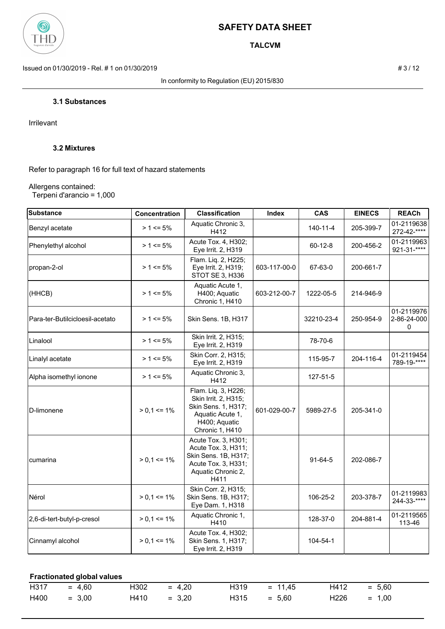

**TALCVM**

Issued on 01/30/2019 - Rel. # 1 on 01/30/2019 **# 3** / 12

In conformity to Regulation (EU) 2015/830

## **3.1 Substances**

Irrilevant

## **3.2 Mixtures**

Refer to paragraph 16 for full text of hazard statements

#### Allergens contained: Terpeni d'arancio = 1,000

| <b>Substance</b>                | <b>Concentration</b> | <b>Classification</b>                                                                                                      | <b>Index</b> | <b>CAS</b>    | <b>EINECS</b> | <b>REACh</b>                    |
|---------------------------------|----------------------|----------------------------------------------------------------------------------------------------------------------------|--------------|---------------|---------------|---------------------------------|
| Benzyl acetate                  | $> 1 \le 5\%$        | Aquatic Chronic 3,<br>H412                                                                                                 |              | 140-11-4      | 205-399-7     | 01-2119638<br>272-42-****       |
| Phenylethyl alcohol             | $> 1 \le 5\%$        | Acute Tox. 4, H302;<br>Eye Irrit. 2, H319                                                                                  |              | $60 - 12 - 8$ | 200-456-2     | 01-2119963<br>$921 - 31 -$ **** |
| propan-2-ol                     | $> 1 \le 5\%$        | Flam. Liq. 2, H225;<br>Eye Irrit. 2, H319;<br>STOT SE 3, H336                                                              | 603-117-00-0 | 67-63-0       | 200-661-7     |                                 |
| (HHCB)                          | $> 1 \le 5\%$        | Aquatic Acute 1,<br>H400; Aquatic<br>Chronic 1, H410                                                                       | 603-212-00-7 | 1222-05-5     | 214-946-9     |                                 |
| Para-ter-Butilcicloesil-acetato | $> 1 \le 5\%$        | Skin Sens. 1B, H317                                                                                                        |              | 32210-23-4    | 250-954-9     | 01-2119976<br>2-86-24-000<br>0  |
| Linalool                        | $> 1 \le 5\%$        | Skin Irrit. 2, H315;<br>Eye Irrit. 2, H319                                                                                 |              | 78-70-6       |               |                                 |
| Linalyl acetate                 | $> 1 \le 5\%$        | Skin Corr. 2, H315;<br>Eye Irrit. 2, H319                                                                                  |              | 115-95-7      | 204-116-4     | 01-2119454<br>789-19-****       |
| Alpha isomethyl ionone          | $> 1 \le 5\%$        | Aquatic Chronic 3,<br>H412                                                                                                 |              | 127-51-5      |               |                                 |
| D-limonene                      | $> 0.1 \le 1\%$      | Flam. Liq. 3, H226;<br>Skin Irrit. 2, H315;<br>Skin Sens. 1, H317;<br>Aquatic Acute 1,<br>H400; Aquatic<br>Chronic 1, H410 | 601-029-00-7 | 5989-27-5     | 205-341-0     |                                 |
| cumarina                        | $> 0.1 \le 1\%$      | Acute Tox. 3, H301;<br>Acute Tox. 3, H311;<br>Skin Sens. 1B, H317;<br>Acute Tox. 3, H331;<br>Aquatic Chronic 2,<br>H411    |              | $91-64-5$     | 202-086-7     |                                 |
| Nérol                           | $> 0.1 \le 1\%$      | Skin Corr. 2, H315;<br>Skin Sens. 1B, H317;<br>Eye Dam. 1, H318                                                            |              | 106-25-2      | 203-378-7     | 01-2119983<br>244-33-****       |
| 2,6-di-tert-butyl-p-cresol      | $> 0.1 \le 1\%$      | Aquatic Chronic 1,<br>H410                                                                                                 |              | 128-37-0      | 204-881-4     | 01-2119565<br>113-46            |
| Cinnamyl alcohol                | $> 0.1 \le 1\%$      | Acute Tox. 4, H302;<br>Skin Sens. 1, H317;<br>Eye Irrit. 2, H319                                                           |              | 104-54-1      |               |                                 |

#### **Fractionated global values**

| $H317 = 4.60$ |          | $H302 = 4,20$ |               |               | $H319 = 11,45$ | $H412 = 5,60$ |  |
|---------------|----------|---------------|---------------|---------------|----------------|---------------|--|
| H400          | $= 3.00$ |               | $H410 = 3,20$ | $H315 = 5.60$ |                | $H226 = 1,00$ |  |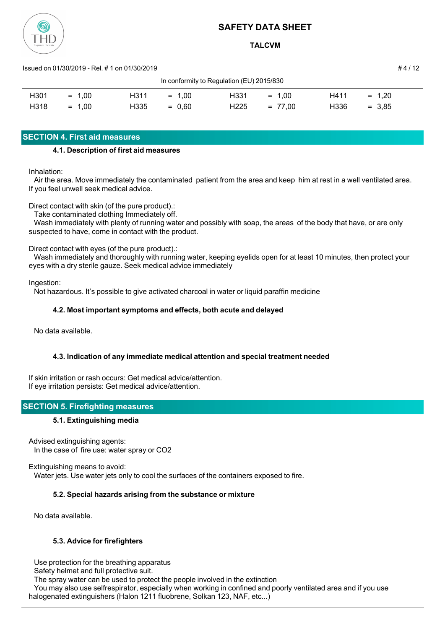

**TALCVM**

Issued on 01/30/2019 - Rel. # 1 on 01/30/2019 # 4 / 12

| In conformity to Regulation (EU) 2015/830 |          |      |          |                  |           |      |             |  |
|-------------------------------------------|----------|------|----------|------------------|-----------|------|-------------|--|
| H301                                      | $= 1.00$ | H311 | $= 1.00$ | H <sub>331</sub> | $= 1.00$  | H411 | 1.20<br>$=$ |  |
| H318                                      | $= 1.00$ | H335 | $= 0.60$ | H <sub>225</sub> | $= 77.00$ | H336 | $= 3.85$    |  |

## **SECTION 4. First aid measures**

## **4.1. Description of first aid measures**

Inhalation:

 Air the area. Move immediately the contaminated patient from the area and keep him at rest in a well ventilated area. If you feel unwell seek medical advice.

Direct contact with skin (of the pure product).:

Take contaminated clothing Immediately off.

 Wash immediately with plenty of running water and possibly with soap, the areas of the body that have, or are only suspected to have, come in contact with the product.

Direct contact with eyes (of the pure product).:

 Wash immediately and thoroughly with running water, keeping eyelids open for at least 10 minutes, then protect your eyes with a dry sterile gauze. Seek medical advice immediately

Ingestion:

Not hazardous. It's possible to give activated charcoal in water or liquid paraffin medicine

## **4.2. Most important symptoms and effects, both acute and delayed**

No data available.

## **4.3. Indication of any immediate medical attention and special treatment needed**

If skin irritation or rash occurs: Get medical advice/attention. If eye irritation persists: Get medical advice/attention.

## **SECTION 5. Firefighting measures**

## **5.1. Extinguishing media**

Advised extinguishing agents: In the case of fire use: water spray or CO2

Extinguishing means to avoid:

Water jets. Use water jets only to cool the surfaces of the containers exposed to fire.

## **5.2. Special hazards arising from the substance or mixture**

No data available.

## **5.3. Advice for firefighters**

Use protection for the breathing apparatus

Safety helmet and full protective suit.

The spray water can be used to protect the people involved in the extinction

 You may also use selfrespirator, especially when working in confined and poorly ventilated area and if you use halogenated extinguishers (Halon 1211 fluobrene, Solkan 123, NAF, etc...)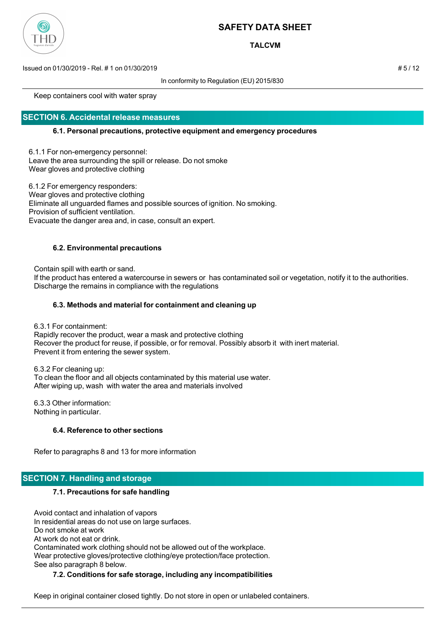

**TALCVM**

Issued on 01/30/2019 - Rel. # 1 on 01/30/2019 # 5 / 12

In conformity to Regulation (EU) 2015/830

Keep containers cool with water spray

## **SECTION 6. Accidental release measures**

#### **6.1. Personal precautions, protective equipment and emergency procedures**

6.1.1 For non-emergency personnel: Leave the area surrounding the spill or release. Do not smoke Wear gloves and protective clothing

6.1.2 For emergency responders: Wear gloves and protective clothing Eliminate all unguarded flames and possible sources of ignition. No smoking. Provision of sufficient ventilation. Evacuate the danger area and, in case, consult an expert.

## **6.2. Environmental precautions**

Contain spill with earth or sand.

 If the product has entered a watercourse in sewers or has contaminated soil or vegetation, notify it to the authorities. Discharge the remains in compliance with the regulations

#### **6.3. Methods and material for containment and cleaning up**

6.3.1 For containment:

 Rapidly recover the product, wear a mask and protective clothing Recover the product for reuse, if possible, or for removal. Possibly absorb it with inert material. Prevent it from entering the sewer system.

 6.3.2 For cleaning up: To clean the floor and all objects contaminated by this material use water. After wiping up, wash with water the area and materials involved

 6.3.3 Other information: Nothing in particular.

## **6.4. Reference to other sections**

Refer to paragraphs 8 and 13 for more information

## **SECTION 7. Handling and storage**

#### **7.1. Precautions for safe handling**

 Avoid contact and inhalation of vapors In residential areas do not use on large surfaces. Do not smoke at work At work do not eat or drink. Contaminated work clothing should not be allowed out of the workplace. Wear protective gloves/protective clothing/eye protection/face protection. See also paragraph 8 below.

## **7.2. Conditions for safe storage, including any incompatibilities**

Keep in original container closed tightly. Do not store in open or unlabeled containers.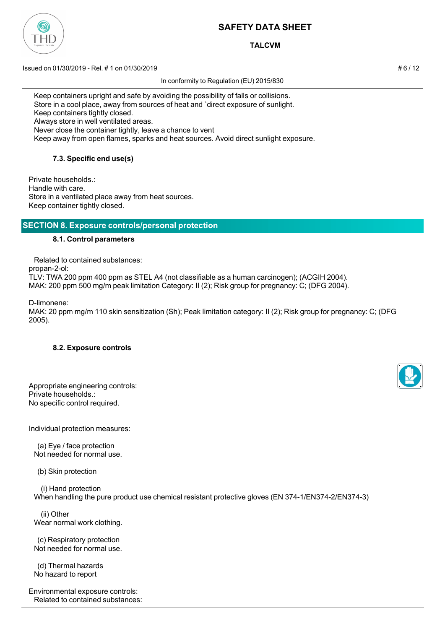

**TALCVM**

Issued on 01/30/2019 - Rel. # 1 on 01/30/2019 **Assumed by a struck of the struck of the struck of the struck of t** 

In conformity to Regulation (EU) 2015/830

 Keep containers upright and safe by avoiding the possibility of falls or collisions. Store in a cool place, away from sources of heat and `direct exposure of sunlight. Keep containers tightly closed. Always store in well ventilated areas. Never close the container tightly, leave a chance to vent Keep away from open flames, sparks and heat sources. Avoid direct sunlight exposure.

**7.3. Specific end use(s)**

Private households.: Handle with care. Store in a ventilated place away from heat sources. Keep container tightly closed.

## **SECTION 8. Exposure controls/personal protection**

#### **8.1. Control parameters**

 Related to contained substances: propan-2-ol:

TLV: TWA 200 ppm 400 ppm as STEL A4 (not classifiable as a human carcinogen); (ACGIH 2004). MAK: 200 ppm 500 mg/m peak limitation Category: II (2); Risk group for pregnancy: C; (DFG 2004).

D-limonene:

MAK: 20 ppm mg/m 110 skin sensitization (Sh); Peak limitation category: II (2); Risk group for pregnancy: C; (DFG 2005).

## **8.2. Exposure controls**

| Appropriate engineering controls: |
|-----------------------------------|
| Private households.:              |
| No specific control required.     |

Individual protection measures:

 (a) Eye / face protection Not needed for normal use.

(b) Skin protection

 (i) Hand protection When handling the pure product use chemical resistant protective gloves (EN 374-1/EN374-2/EN374-3)

 (ii) Other Wear normal work clothing.

 (c) Respiratory protection Not needed for normal use.

 (d) Thermal hazards No hazard to report

Environmental exposure controls: Related to contained substances:

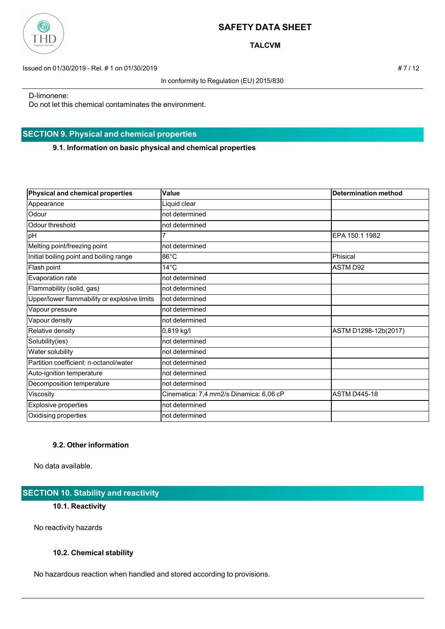

**TALCVM**

Issued on 01/30/2019 - Rel. # 1 on 01/30/2019 # 7 / 12

In conformity to Regulation (EU) 2015/830

D-limonene:

Do not let this chemical contaminates the environment.

## **SECTION 9. Physical and chemical properties**

**9.1. Information on basic physical and chemical properties**

| Physical and chemical properties             | Value                                   | <b>Determination method</b> |
|----------------------------------------------|-----------------------------------------|-----------------------------|
| Appearance                                   | Liquid clear                            |                             |
| Odour                                        | not determined                          |                             |
| Odour threshold                              | not determined                          |                             |
| pH                                           |                                         | EPA 150.1 1982              |
| Melting point/freezing point                 | not determined                          |                             |
| Initial boiling point and boiling range      | $86^{\circ}$ C                          | Phisical                    |
| Flash point                                  | $14^{\circ}$ C                          | <b>ASTM D92</b>             |
| Evaporation rate                             | not determined                          |                             |
| Flammability (solid, gas)                    | not determined                          |                             |
| Upper/lower flammability or explosive limits | not determined                          |                             |
| Vapour pressure                              | not determined                          |                             |
| Vapour density                               | not determined                          |                             |
| Relative density                             | 0,819 kg/l                              | ASTM D1298-12b(2017)        |
| Solubility(ies)                              | not determined                          |                             |
| Water solubility                             | not determined                          |                             |
| Partition coefficient: n-octanol/water       | not determined                          |                             |
| Auto-ignition temperature                    | not determined                          |                             |
| Decomposition temperature                    | not determined                          |                             |
| Viscosity                                    | Cinematica: 7,4 mm2/s Dinamica: 6,06 cP | <b>ASTM D445-18</b>         |
| Explosive properties                         | not determined                          |                             |
| Oxidising properties                         | not determined                          |                             |

## **9.2. Other information**

No data available.

## **SECTION 10. Stability and reactivity**

## **10.1. Reactivity**

No reactivity hazards

## **10.2. Chemical stability**

No hazardous reaction when handled and stored according to provisions.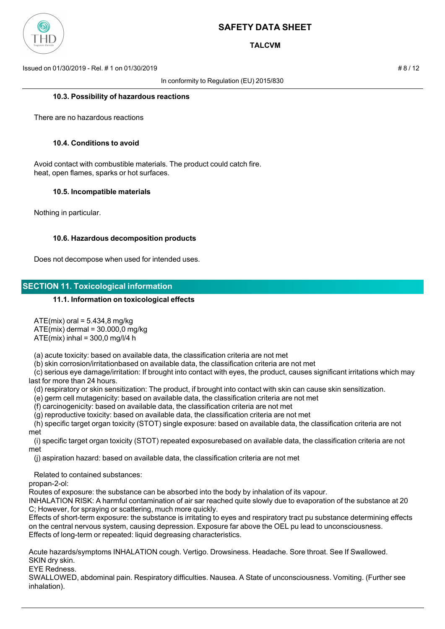

**TALCVM**

Issued on 01/30/2019 - Rel. # 1 on 01/30/2019 # 8 / 12

In conformity to Regulation (EU) 2015/830

#### **10.3. Possibility of hazardous reactions**

There are no hazardous reactions

#### **10.4. Conditions to avoid**

 Avoid contact with combustible materials. The product could catch fire. heat, open flames, sparks or hot surfaces.

#### **10.5. Incompatible materials**

Nothing in particular.

#### **10.6. Hazardous decomposition products**

Does not decompose when used for intended uses.

## **SECTION 11. Toxicological information**

#### **11.1. Information on toxicological effects**

 $ATE(mix)$  oral = 5.434,8 mg/kg

 $ATE(mix)$  dermal =  $30.000(0)$  mg/kg

 $ATE(mix)$  inhal = 300,0 mg/l/4 h

(a) acute toxicity: based on available data, the classification criteria are not met

(b) skin corrosion/irritationbased on available data, the classification criteria are not met

 (c) serious eye damage/irritation: If brought into contact with eyes, the product, causes significant irritations which may last for more than 24 hours.

(d) respiratory or skin sensitization: The product, if brought into contact with skin can cause skin sensitization.

(e) germ cell mutagenicity: based on available data, the classification criteria are not met

(f) carcinogenicity: based on available data, the classification criteria are not met

(g) reproductive toxicity: based on available data, the classification criteria are not met

 (h) specific target organ toxicity (STOT) single exposure: based on available data, the classification criteria are not met

 (i) specific target organ toxicity (STOT) repeated exposurebased on available data, the classification criteria are not met

(j) aspiration hazard: based on available data, the classification criteria are not met

Related to contained substances:

propan-2-ol:

Routes of exposure: the substance can be absorbed into the body by inhalation of its vapour.

INHALATION RISK: A harmful contamination of air sar reached quite slowly due to evaporation of the substance at 20 C; However, for spraying or scattering, much more quickly.

Effects of short-term exposure: the substance is irritating to eyes and respiratory tract pu substance determining effects on the central nervous system, causing depression. Exposure far above the OEL pu lead to unconsciousness. Effects of long-term or repeated: liquid degreasing characteristics.

Acute hazards/symptoms INHALATION cough. Vertigo. Drowsiness. Headache. Sore throat. See If Swallowed. SKIN dry skin.

EYE Redness.

SWALLOWED, abdominal pain. Respiratory difficulties. Nausea. A State of unconsciousness. Vomiting. (Further see inhalation).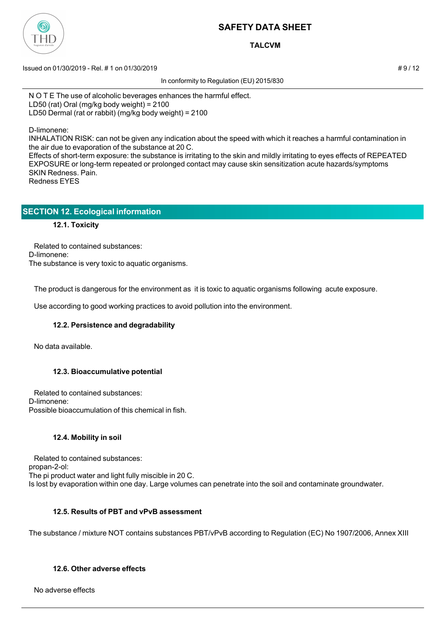

**TALCVM**

 $\pm$  9/12 Issued on 01/30/2019 - Rel. # 1 on 01/30/2019

In conformity to Regulation (EU) 2015/830

N O T E The use of alcoholic beverages enhances the harmful effect. LD50 (rat) Oral (mg/kg body weight) = 2100 LD50 Dermal (rat or rabbit) (mg/kg body weight) = 2100

D-limonene:

INHALATION RISK: can not be given any indication about the speed with which it reaches a harmful contamination in the air due to evaporation of the substance at 20 C.

Effects of short-term exposure: the substance is irritating to the skin and mildly irritating to eyes effects of REPEATED EXPOSURE or long-term repeated or prolonged contact may cause skin sensitization acute hazards/symptoms SKIN Redness. Pain. Redness EYES

| <b>SECTION 12. Ecological information</b> |  |
|-------------------------------------------|--|
|                                           |  |

## **12.1. Toxicity**

 Related to contained substances: D-limonene: The substance is very toxic to aquatic organisms.

The product is dangerous for the environment as it is toxic to aquatic organisms following acute exposure.

Use according to good working practices to avoid pollution into the environment.

## **12.2. Persistence and degradability**

No data available.

## **12.3. Bioaccumulative potential**

 Related to contained substances: D-limonene: Possible bioaccumulation of this chemical in fish.

## **12.4. Mobility in soil**

 Related to contained substances: propan-2-ol: The pi product water and light fully miscible in 20 C. Is lost by evaporation within one day. Large volumes can penetrate into the soil and contaminate groundwater.

## **12.5. Results of PBT and vPvB assessment**

The substance / mixture NOT contains substances PBT/vPvB according to Regulation (EC) No 1907/2006, Annex XIII

## **12.6. Other adverse effects**

No adverse effects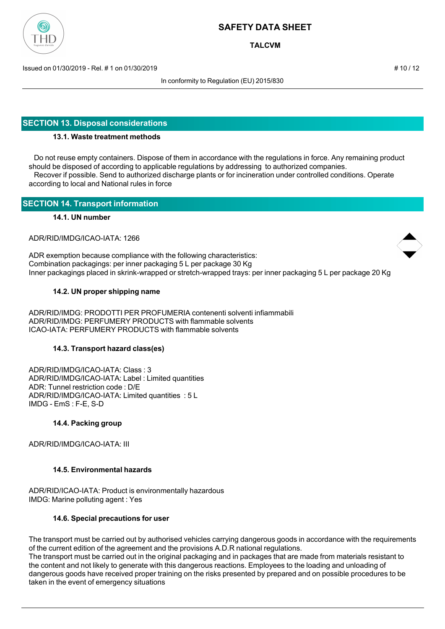

**TALCVM**

Issued on 01/30/2019 - Rel. # 1 on 01/30/2019 **Assumed by a set of the set of the set of the set of the set of the set of the set of the set of the set of the set of the set of the set of the set of the set of the set of t** 

In conformity to Regulation (EU) 2015/830

## **SECTION 13. Disposal considerations**

## **13.1. Waste treatment methods**

 Do not reuse empty containers. Dispose of them in accordance with the regulations in force. Any remaining product should be disposed of according to applicable regulations by addressing to authorized companies. Recover if possible. Send to authorized discharge plants or for incineration under controlled conditions. Operate according to local and National rules in force

## **SECTION 14. Transport information**

#### **14.1. UN number**

ADR/RID/IMDG/ICAO-IATA: 1266

ADR exemption because compliance with the following characteristics: Combination packagings: per inner packaging 5 L per package 30 Kg Inner packagings placed in skrink-wrapped or stretch-wrapped trays: per inner packaging 5 L per package 20 Kg

#### **14.2. UN proper shipping name**

ADR/RID/IMDG: PRODOTTI PER PROFUMERIA contenenti solventi infiammabili ADR/RID/IMDG: PERFUMERY PRODUCTS with flammable solvents ICAO-IATA: PERFUMERY PRODUCTS with flammable solvents

#### **14.3. Transport hazard class(es)**

ADR/RID/IMDG/ICAO-IATA: Class : 3 ADR/RID/IMDG/ICAO-IATA: Label : Limited quantities ADR: Tunnel restriction code : D/E ADR/RID/IMDG/ICAO-IATA: Limited quantities : 5 L IMDG - EmS : F-E, S-D

#### **14.4. Packing group**

ADR/RID/IMDG/ICAO-IATA: III

## **14.5. Environmental hazards**

ADR/RID/ICAO-IATA: Product is environmentally hazardous IMDG: Marine polluting agent : Yes

#### **14.6. Special precautions for user**

The transport must be carried out by authorised vehicles carrying dangerous goods in accordance with the requirements of the current edition of the agreement and the provisions A.D.R national regulations. The transport must be carried out in the original packaging and in packages that are made from materials resistant to

the content and not likely to generate with this dangerous reactions. Employees to the loading and unloading of dangerous goods have received proper training on the risks presented by prepared and on possible procedures to be taken in the event of emergency situations

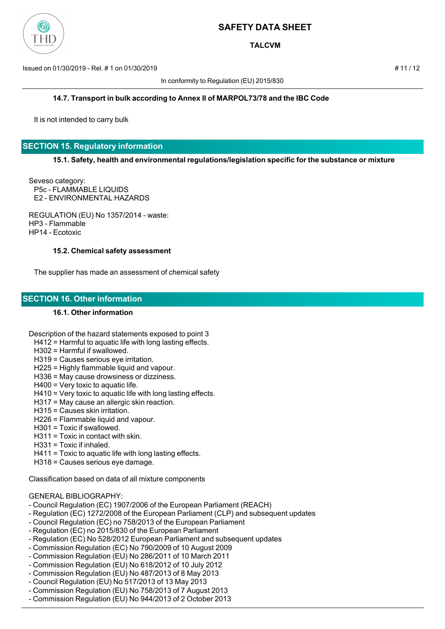

**TALCVM**

Issued on 01/30/2019 - Rel. # 1 on 01/30/2019 # 11 / 12

In conformity to Regulation (EU) 2015/830

#### **14.7. Transport in bulk according to Annex II of MARPOL73/78 and the IBC Code**

It is not intended to carry bulk

## **SECTION 15. Regulatory information**

#### **15.1. Safety, health and environmental regulations/legislation specific for the substance or mixture**

Seveso category: P5c - FLAMMABLE LIQUIDS E2 - ENVIRONMENTAL HAZARDS

REGULATION (EU) No 1357/2014 - waste: HP3 - Flammable HP14 - Ecotoxic

#### **15.2. Chemical safety assessment**

The supplier has made an assessment of chemical safety

## **SECTION 16. Other information**

#### **16.1. Other information**

Description of the hazard statements exposed to point 3

- H412 = Harmful to aquatic life with long lasting effects.
- H302 = Harmful if swallowed.
- H319 = Causes serious eye irritation.
- H225 = Highly flammable liquid and vapour.
- H336 = May cause drowsiness or dizziness.
- H400 = Very toxic to aquatic life.
- H410 = Very toxic to aquatic life with long lasting effects.
- H317 = May cause an allergic skin reaction.
- H315 = Causes skin irritation.
- H226 = Flammable liquid and vapour.
- H301 = Toxic if swallowed.
- H311 = Toxic in contact with skin.
- H331 = Toxic if inhaled.
- H411 = Toxic to aquatic life with long lasting effects.
- H318 = Causes serious eye damage.

Classification based on data of all mixture components

#### GENERAL BIBLIOGRAPHY:

- Council Regulation (EC) 1907/2006 of the European Parliament (REACH)
- Regulation (EC) 1272/2008 of the European Parliament (CLP) and subsequent updates
- Council Regulation (EC) no 758/2013 of the European Parliament
- Regulation (EC) no 2015/830 of the European Parliament
- Regulation (EC) No 528/2012 European Parliament and subsequent updates
- Commission Regulation (EC) No 790/2009 of 10 August 2009
- Commission Regulation (EU) No 286/2011 of 10 March 2011
- Commission Regulation (EU) No 618/2012 of 10 July 2012
- Commission Regulation (EU) No 487/2013 of 8 May 2013
- Council Regulation (EU) No 517/2013 of 13 May 2013
- Commission Regulation (EU) No 758/2013 of 7 August 2013
- Commission Regulation (EU) No 944/2013 of 2 October 2013